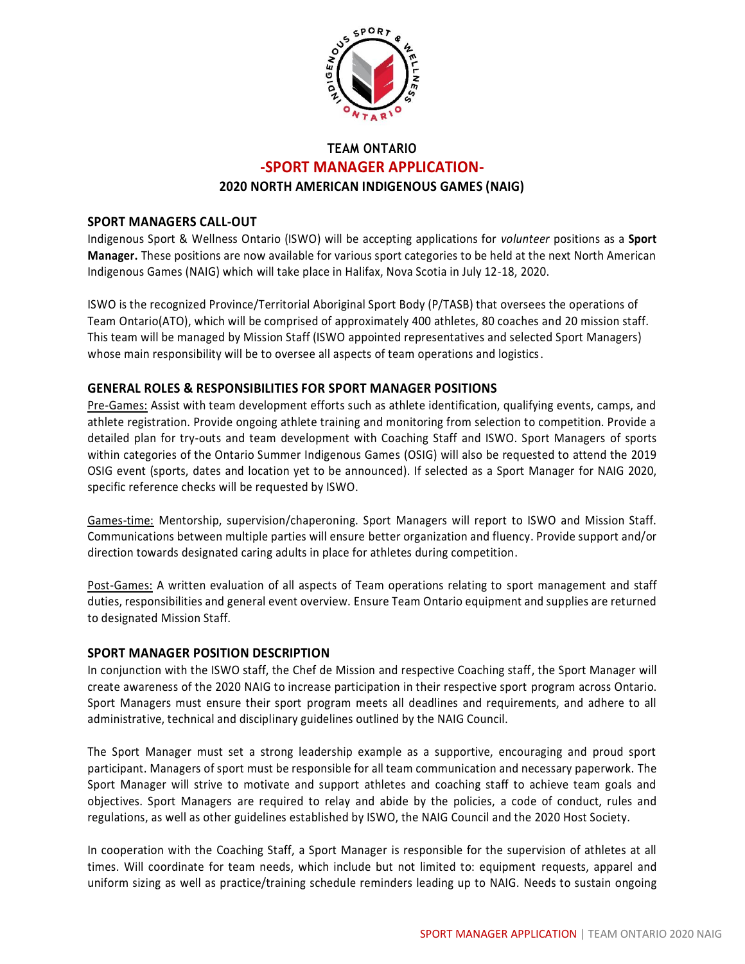

# **TEAM ONTARIO -SPORT MANAGER APPLICATION-2020 NORTH AMERICAN INDIGENOUS GAMES (NAIG)**

#### **SPORT MANAGERS CALL-OUT**

Indigenous Sport & Wellness Ontario (ISWO) will be accepting applications for *volunteer* positions as a **Sport Manager.** These positions are now available for various sport categories to be held at the next North American Indigenous Games (NAIG) which will take place in Halifax, Nova Scotia in July 12-18, 2020.

ISWO is the recognized Province/Territorial Aboriginal Sport Body (P/TASB) that oversees the operations of Team Ontario(ATO), which will be comprised of approximately 400 athletes, 80 coaches and 20 mission staff. This team will be managed by Mission Staff (ISWO appointed representatives and selected Sport Managers) whose main responsibility will be to oversee all aspects of team operations and logistics.

### **GENERAL ROLES & RESPONSIBILITIES FOR SPORT MANAGER POSITIONS**

Pre-Games: Assist with team development efforts such as athlete identification, qualifying events, camps, and athlete registration. Provide ongoing athlete training and monitoring from selection to competition. Provide a detailed plan for try-outs and team development with Coaching Staff and ISWO. Sport Managers of sports within categories of the Ontario Summer Indigenous Games (OSIG) will also be requested to attend the 2019 OSIG event (sports, dates and location yet to be announced). If selected as a Sport Manager for NAIG 2020, specific reference checks will be requested by ISWO.

Games-time: Mentorship, supervision/chaperoning. Sport Managers will report to ISWO and Mission Staff. Communications between multiple parties will ensure better organization and fluency. Provide support and/or direction towards designated caring adults in place for athletes during competition.

Post-Games: A written evaluation of all aspects of Team operations relating to sport management and staff duties, responsibilities and general event overview. Ensure Team Ontario equipment and supplies are returned to designated Mission Staff.

#### **SPORT MANAGER POSITION DESCRIPTION**

In conjunction with the ISWO staff, the Chef de Mission and respective Coaching staff, the Sport Manager will create awareness of the 2020 NAIG to increase participation in their respective sport program across Ontario. Sport Managers must ensure their sport program meets all deadlines and requirements, and adhere to all administrative, technical and disciplinary guidelines outlined by the NAIG Council.

The Sport Manager must set a strong leadership example as a supportive, encouraging and proud sport participant. Managers of sport must be responsible for all team communication and necessary paperwork. The Sport Manager will strive to motivate and support athletes and coaching staff to achieve team goals and objectives. Sport Managers are required to relay and abide by the policies, a code of conduct, rules and regulations, as well as other guidelines established by ISWO, the NAIG Council and the 2020 Host Society.

In cooperation with the Coaching Staff, a Sport Manager is responsible for the supervision of athletes at all times. Will coordinate for team needs, which include but not limited to: equipment requests, apparel and uniform sizing as well as practice/training schedule reminders leading up to NAIG. Needs to sustain ongoing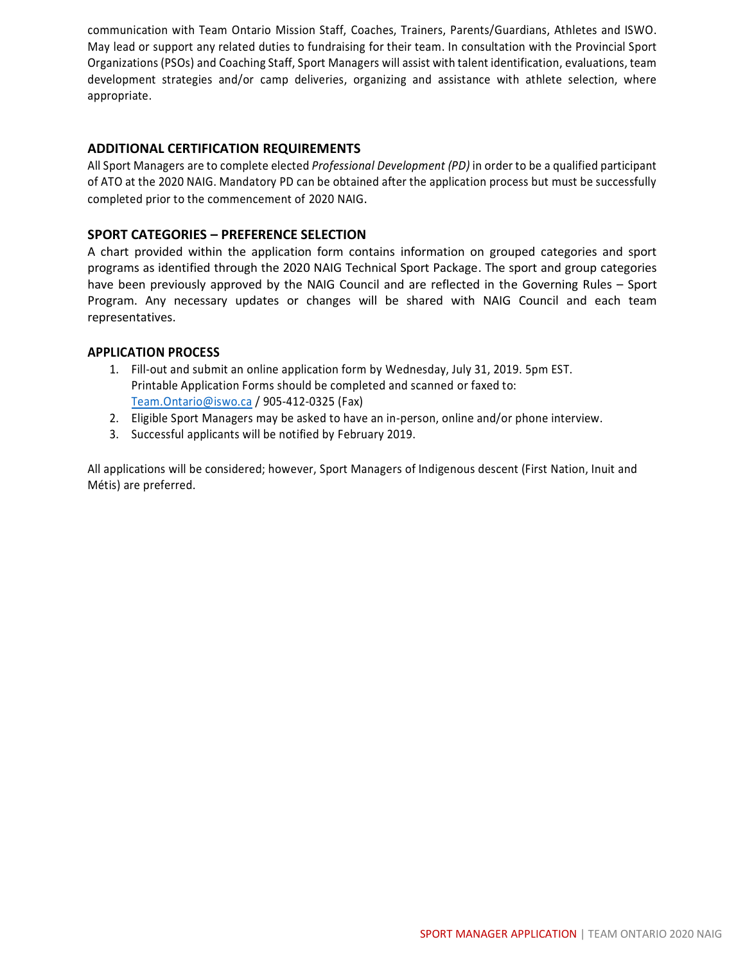communication with Team Ontario Mission Staff, Coaches, Trainers, Parents/Guardians, Athletes and ISWO. May lead or support any related duties to fundraising for their team. In consultation with the Provincial Sport Organizations (PSOs) and Coaching Staff, Sport Managers will assist with talent identification, evaluations, team development strategies and/or camp deliveries, organizing and assistance with athlete selection, where appropriate.

### **ADDITIONAL CERTIFICATION REQUIREMENTS**

All Sport Managers are to complete elected *Professional Development (PD)* in order to be a qualified participant of ATO at the 2020 NAIG. Mandatory PD can be obtained after the application process but must be successfully completed prior to the commencement of 2020 NAIG.

### **SPORT CATEGORIES – PREFERENCE SELECTION**

A chart provided within the application form contains information on grouped categories and sport programs as identified through the 2020 NAIG Technical Sport Package. The sport and group categories have been previously approved by the NAIG Council and are reflected in the Governing Rules – Sport Program. Any necessary updates or changes will be shared with NAIG Council and each team representatives.

#### **APPLICATION PROCESS**

- 1. Fill-out and submit an online application form by Wednesday, July 31, 2019. 5pm EST. Printable Application Forms should be completed and scanned or faxed to: Team.Ontario@iswo.ca / 905-412-0325 (Fax)
- 2. Eligible Sport Managers may be asked to have an in-person, online and/or phone interview.
- 3. Successful applicants will be notified by February 2019.

All applications will be considered; however, Sport Managers of Indigenous descent (First Nation, Inuit and Métis) are preferred.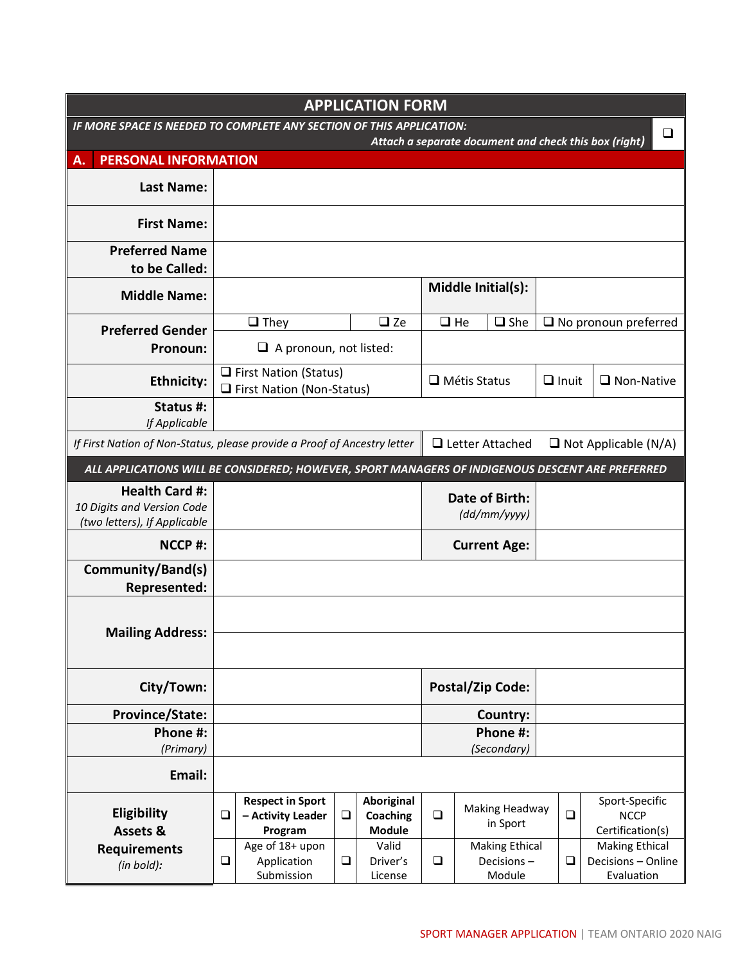| <b>APPLICATION FORM</b>                                                                          |        |                                                                                  |        |                                         |          |                                               |                   |        |                                                           |
|--------------------------------------------------------------------------------------------------|--------|----------------------------------------------------------------------------------|--------|-----------------------------------------|----------|-----------------------------------------------|-------------------|--------|-----------------------------------------------------------|
| IF MORE SPACE IS NEEDED TO COMPLETE ANY SECTION OF THIS APPLICATION:<br>$\Box$                   |        |                                                                                  |        |                                         |          |                                               |                   |        |                                                           |
| Attach a separate document and check this box (right)<br><b>PERSONAL INFORMATION</b><br>Α.       |        |                                                                                  |        |                                         |          |                                               |                   |        |                                                           |
| <b>Last Name:</b>                                                                                |        |                                                                                  |        |                                         |          |                                               |                   |        |                                                           |
|                                                                                                  |        |                                                                                  |        |                                         |          |                                               |                   |        |                                                           |
| <b>First Name:</b>                                                                               |        |                                                                                  |        |                                         |          |                                               |                   |        |                                                           |
| <b>Preferred Name</b>                                                                            |        |                                                                                  |        |                                         |          |                                               |                   |        |                                                           |
| to be Called:                                                                                    |        |                                                                                  |        |                                         |          | Middle Initial(s):                            |                   |        |                                                           |
| <b>Middle Name:</b>                                                                              |        |                                                                                  |        |                                         |          |                                               |                   |        |                                                           |
| <b>Preferred Gender</b>                                                                          |        | $\Box$ They                                                                      |        | $\square$ Ze                            |          | $\Box$ She<br>$\Box$ He                       |                   |        | $\Box$ No pronoun preferred                               |
| Pronoun:                                                                                         |        | $\Box$ A pronoun, not listed:                                                    |        |                                         |          |                                               |                   |        |                                                           |
| <b>Ethnicity:</b>                                                                                |        | $\Box$ First Nation (Status)<br>$\Box$ Métis Status<br>First Nation (Non-Status) |        |                                         |          | $\Box$ Inuit                                  | $\Box$ Non-Native |        |                                                           |
| Status #:<br>If Applicable                                                                       |        |                                                                                  |        |                                         |          |                                               |                   |        |                                                           |
| If First Nation of Non-Status, please provide a Proof of Ancestry letter                         |        |                                                                                  |        |                                         |          | $\Box$ Letter Attached                        |                   |        | $\Box$ Not Applicable (N/A)                               |
| ALL APPLICATIONS WILL BE CONSIDERED; HOWEVER, SPORT MANAGERS OF INDIGENOUS DESCENT ARE PREFERRED |        |                                                                                  |        |                                         |          |                                               |                   |        |                                                           |
| <b>Health Card #:</b><br>10 Digits and Version Code                                              |        |                                                                                  |        |                                         |          | Date of Birth:<br>(dd/mm/yyyy)                |                   |        |                                                           |
| (two letters), If Applicable                                                                     |        |                                                                                  |        |                                         |          |                                               |                   |        |                                                           |
| NCCP#:                                                                                           |        |                                                                                  |        |                                         |          | <b>Current Age:</b>                           |                   |        |                                                           |
| Community/Band(s)                                                                                |        |                                                                                  |        |                                         |          |                                               |                   |        |                                                           |
| <b>Represented:</b>                                                                              |        |                                                                                  |        |                                         |          |                                               |                   |        |                                                           |
|                                                                                                  |        |                                                                                  |        |                                         |          |                                               |                   |        |                                                           |
| <b>Mailing Address:</b>                                                                          |        |                                                                                  |        |                                         |          |                                               |                   |        |                                                           |
| City/Town:                                                                                       |        |                                                                                  |        |                                         |          | <b>Postal/Zip Code:</b>                       |                   |        |                                                           |
| <b>Province/State:</b>                                                                           |        |                                                                                  |        |                                         |          | Country:                                      |                   |        |                                                           |
| Phone #:                                                                                         |        |                                                                                  |        |                                         | Phone #: |                                               |                   |        |                                                           |
| (Primary)                                                                                        |        |                                                                                  |        |                                         |          | (Secondary)                                   |                   |        |                                                           |
| Email:                                                                                           |        |                                                                                  |        |                                         |          |                                               |                   |        |                                                           |
| Eligibility<br>Assets &                                                                          | $\Box$ | <b>Respect in Sport</b><br>- Activity Leader<br>Program                          | $\Box$ | Aboriginal<br>Coaching<br><b>Module</b> | $\Box$   | Making Headway<br>in Sport                    |                   | $\Box$ | Sport-Specific<br><b>NCCP</b><br>Certification(s)         |
| <b>Requirements</b><br>(in bold):                                                                | $\Box$ | Age of 18+ upon<br>Application<br>Submission                                     | $\Box$ | Valid<br>Driver's<br>License            | $\Box$   | <b>Making Ethical</b><br>Decisions-<br>Module |                   | $\Box$ | <b>Making Ethical</b><br>Decisions - Online<br>Evaluation |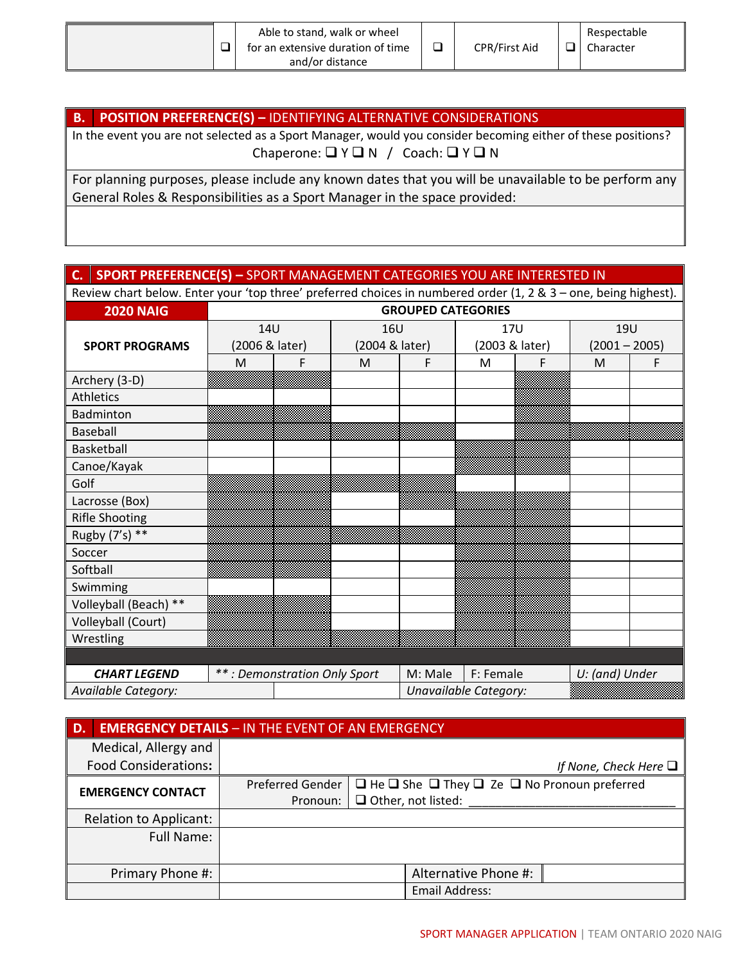|  | Able to stand, walk or wheel<br>for an extensive duration of time<br>and/or distance |  | <b>CPR/First Aid</b> |  | Respectable<br>Character |
|--|--------------------------------------------------------------------------------------|--|----------------------|--|--------------------------|
|--|--------------------------------------------------------------------------------------|--|----------------------|--|--------------------------|

# **B. POSITION PREFERENCE(S) –** IDENTIFYING ALTERNATIVE CONSIDERATIONS

In the event you are not selected as a Sport Manager, would you consider becoming either of these positions? Chaperone: ❑ Y ❑ N / Coach: ❑ Y ❑ N

For planning purposes, please include any known dates that you will be unavailable to be perform any General Roles & Responsibilities as a Sport Manager in the space provided:

# **C. SPORT PREFERENCE(S) –** SPORT MANAGEMENT CATEGORIES YOU ARE INTERESTED IN

Review chart below. Enter your 'top three' preferred choices in numbered order (1, 2 & 3 – one, being highest).

| <b>2020 NAIG</b>      | <b>GROUPED CATEGORIES</b>    |   |                |         |                       |   |                 |   |  |
|-----------------------|------------------------------|---|----------------|---------|-----------------------|---|-----------------|---|--|
|                       | 14U                          |   | <b>16U</b>     |         | <b>17U</b>            |   | <b>19U</b>      |   |  |
| <b>SPORT PROGRAMS</b> | (2006 & later)               |   | (2004 & later) |         | (2003 & later)        |   | $(2001 - 2005)$ |   |  |
|                       | M                            | F | M              | F       | M                     | F | M               | F |  |
| Archery (3-D)         |                              |   |                |         |                       |   |                 |   |  |
| Athletics             |                              |   |                |         |                       |   |                 |   |  |
| Badminton             |                              |   |                |         |                       |   |                 |   |  |
| <b>Baseball</b>       |                              |   |                |         |                       |   |                 |   |  |
| Basketball            |                              |   |                |         |                       |   |                 |   |  |
| Canoe/Kayak           |                              |   |                |         |                       |   |                 |   |  |
| Golf                  |                              |   |                |         |                       |   |                 |   |  |
| Lacrosse (Box)        |                              |   |                |         |                       |   |                 |   |  |
| <b>Rifle Shooting</b> |                              |   |                |         |                       |   |                 |   |  |
| Rugby (7's) **        |                              |   |                |         |                       |   |                 |   |  |
| Soccer                |                              |   |                |         |                       |   |                 |   |  |
| Softball              |                              |   |                |         |                       |   |                 |   |  |
| Swimming              |                              |   |                |         |                       |   |                 |   |  |
| Volleyball (Beach) ** |                              |   |                |         |                       |   |                 |   |  |
| Volleyball (Court)    |                              |   |                |         |                       |   |                 |   |  |
| Wrestling             |                              |   |                |         |                       |   |                 |   |  |
|                       |                              |   |                |         |                       |   |                 |   |  |
| <b>CHART LEGEND</b>   | **: Demonstration Only Sport |   |                | M: Male | F: Female             |   | U: (and) Under  |   |  |
| Available Category:   |                              |   |                |         | Unavailable Category: |   |                 |   |  |

| D.                            | <b>EMERGENCY DETAILS - IN THE EVENT OF AN EMERGENCY</b> |                                                                        |
|-------------------------------|---------------------------------------------------------|------------------------------------------------------------------------|
| Medical, Allergy and          |                                                         |                                                                        |
| <b>Food Considerations:</b>   |                                                         | If None, Check Here $\Box$                                             |
| <b>EMERGENCY CONTACT</b>      | Preferred Gender                                        | $\Box$ He $\Box$ She $\Box$ They $\Box$ Ze $\Box$ No Pronoun preferred |
|                               | Pronoun:                                                | $\Box$ Other, not listed:                                              |
| <b>Relation to Applicant:</b> |                                                         |                                                                        |
| <b>Full Name:</b>             |                                                         |                                                                        |
|                               |                                                         |                                                                        |
| Primary Phone #:              |                                                         | Alternative Phone #:                                                   |
|                               |                                                         | Email Address:                                                         |